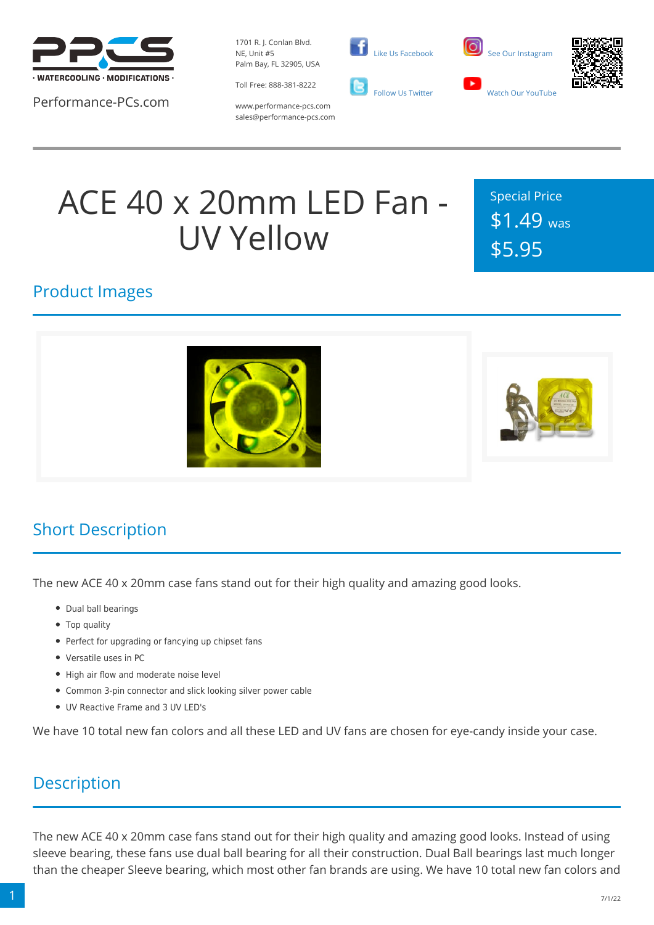

Performance-PCs.com

1701 R. J. Conlan Blvd. NE, Unit #5 Palm Bay, FL 32905, USA

Toll Free: 888-381-8222







www.performance-pcs.com sales@performance-pcs.com

# ACE 40 x 20mm LED Fan - UV Yellow

Special Price \$1.49 was \$5.95

#### Product Images





#### Short Description

The new ACE 40 x 20mm case fans stand out for their high quality and amazing good looks.

- Dual ball bearings
- Top quality
- Perfect for upgrading or fancying up chipset fans
- Versatile uses in PC
- High air flow and moderate noise level
- Common 3-pin connector and slick looking silver power cable
- UV Reactive Frame and 3 UV LED's

We have 10 total new fan colors and all these LED and UV fans are chosen for eye-candy inside your case.

#### **Description**

The new ACE 40 x 20mm case fans stand out for their high quality and amazing good looks. Instead of using sleeve bearing, these fans use dual ball bearing for all their construction. Dual Ball bearings last much longer than the cheaper Sleeve bearing, which most other fan brands are using. We have 10 total new fan colors and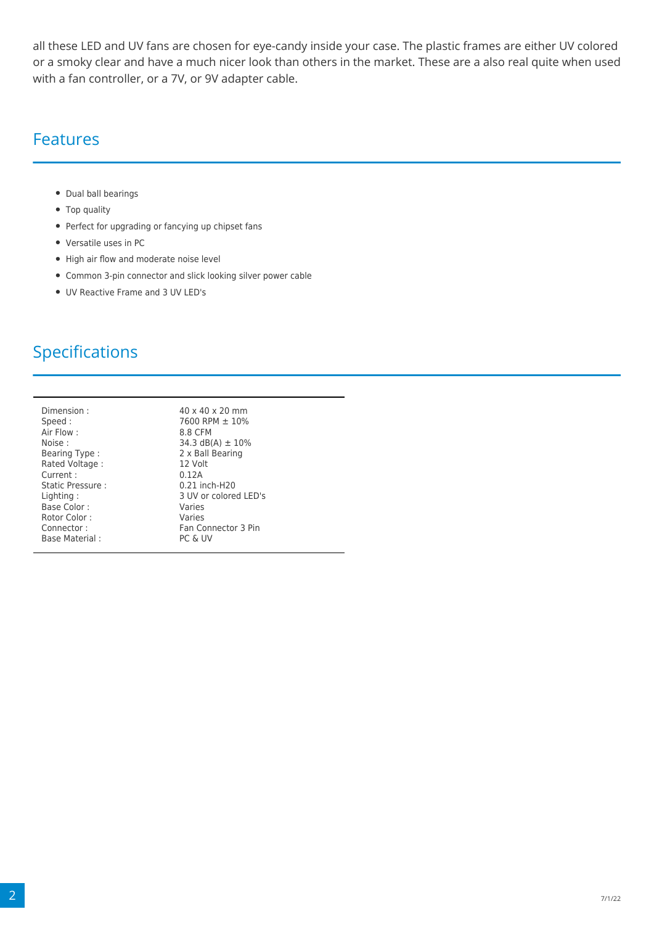all these LED and UV fans are chosen for eye-candy inside your case. The plastic frames are either UV colored or a smoky clear and have a much nicer look than others in the market. These are a also real quite when used with a fan controller, or a 7V, or 9V adapter cable.

#### Features

- Dual ball bearings
- Top quality
- Perfect for upgrading or fancying up chipset fans
- Versatile uses in PC
- High air flow and moderate noise level
- Common 3-pin connector and slick looking silver power cable
- UV Reactive Frame and 3 UV LED's

### Specifications